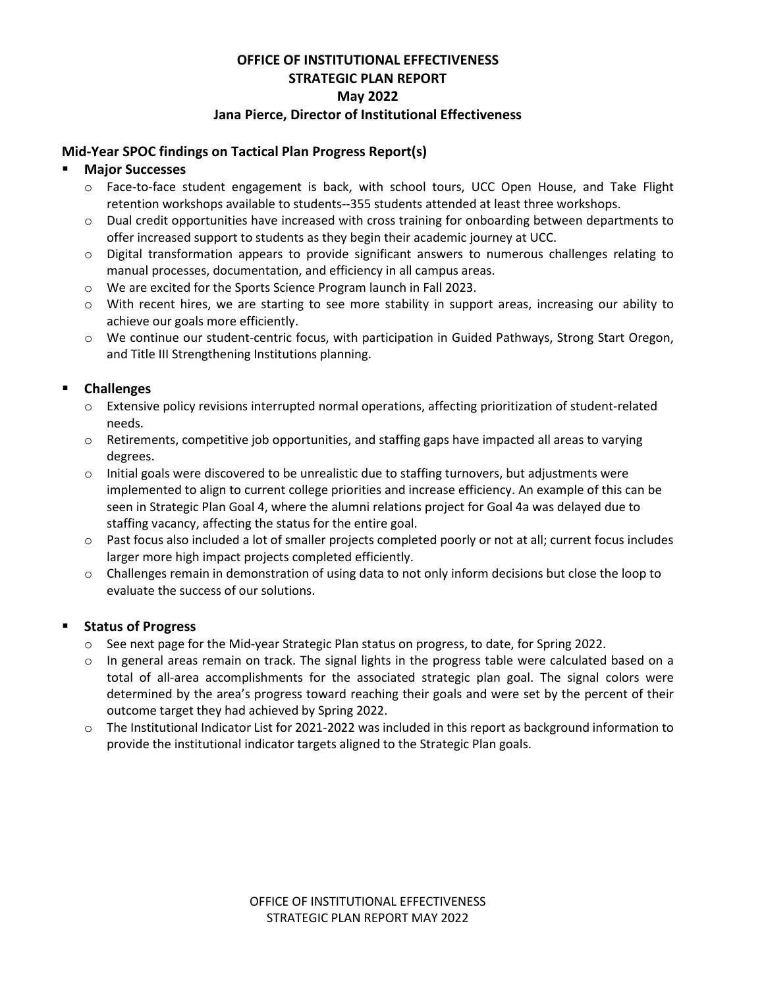#### **OFFICE OF INSTITUTIONAL EFFECTIVENESS STRATEGIC PLAN REPORT May 2022 Jana Pierce, Director of Institutional Effectiveness**

#### **Mid-Year SPOC findings on Tactical Plan Progress Report(s)**

#### **Major Successes**

- o Face-to-face student engagement is back, with school tours, UCC Open House, and Take Flight retention workshops available to students--355 students attended at least three workshops.
- $\circ$  Dual credit opportunities have increased with cross training for onboarding between departments to offer increased support to students as they begin their academic journey at UCC.
- o Digital transformation appears to provide significant answers to numerous challenges relating to manual processes, documentation, and efficiency in all campus areas.
- o We are excited for the Sports Science Program launch in Fall 2023.
- $\circ$  With recent hires, we are starting to see more stability in support areas, increasing our ability to achieve our goals more efficiently.
- o We continue our student-centric focus, with participation in Guided Pathways, Strong Start Oregon, and Title III Strengthening Institutions planning.

### **Challenges**

- $\circ$  Extensive policy revisions interrupted normal operations, affecting prioritization of student-related needs.
- $\circ$  Retirements, competitive job opportunities, and staffing gaps have impacted all areas to varying degrees.
- $\circ$  Initial goals were discovered to be unrealistic due to staffing turnovers, but adjustments were implemented to align to current college priorities and increase efficiency. An example of this can be seen in Strategic Plan Goal 4, where the alumni relations project for Goal 4a was delayed due to staffing vacancy, affecting the status for the entire goal.
- $\circ$  Past focus also included a lot of smaller projects completed poorly or not at all; current focus includes larger more high impact projects completed efficiently.
- o Challenges remain in demonstration of using data to not only inform decisions but close the loop to evaluate the success of our solutions.

### **Status of Progress**

- o See next page for the Mid-year Strategic Plan status on progress, to date, for Spring 2022.
- $\circ$  In general areas remain on track. The signal lights in the progress table were calculated based on a total of all-area accomplishments for the associated strategic plan goal. The signal colors were determined by the area's progress toward reaching their goals and were set by the percent of their outcome target they had achieved by Spring 2022.
- o The Institutional Indicator List for 2021-2022 was included in this report as background information to provide the institutional indicator targets aligned to the Strategic Plan goals.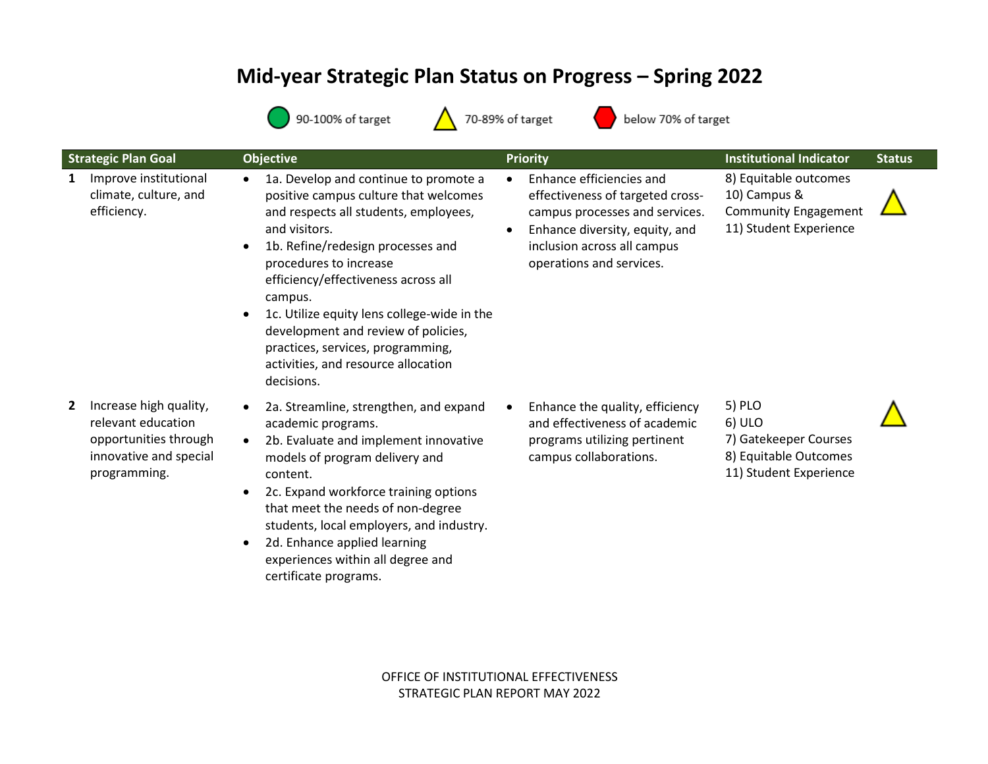# **Mid-year Strategic Plan Status on Progress – Spring 2022**



below 70% of target

|   | <b>Strategic Plan Goal</b>                                                                                      | <b>Objective</b>                                                                                                                                                                                                                                                                                                                                                                                                                                       | <b>Priority</b>                                                                                                                                                                                          | <b>Institutional Indicator</b>                                                                 | <b>Status</b> |
|---|-----------------------------------------------------------------------------------------------------------------|--------------------------------------------------------------------------------------------------------------------------------------------------------------------------------------------------------------------------------------------------------------------------------------------------------------------------------------------------------------------------------------------------------------------------------------------------------|----------------------------------------------------------------------------------------------------------------------------------------------------------------------------------------------------------|------------------------------------------------------------------------------------------------|---------------|
| 1 | Improve institutional<br>climate, culture, and<br>efficiency.                                                   | 1a. Develop and continue to promote a<br>positive campus culture that welcomes<br>and respects all students, employees,<br>and visitors.<br>1b. Refine/redesign processes and<br>procedures to increase<br>efficiency/effectiveness across all<br>campus.<br>1c. Utilize equity lens college-wide in the<br>$\bullet$<br>development and review of policies,<br>practices, services, programming,<br>activities, and resource allocation<br>decisions. | Enhance efficiencies and<br>$\bullet$<br>effectiveness of targeted cross-<br>campus processes and services.<br>Enhance diversity, equity, and<br>inclusion across all campus<br>operations and services. | 8) Equitable outcomes<br>10) Campus &<br><b>Community Engagement</b><br>11) Student Experience |               |
|   | Increase high quality,<br>relevant education<br>opportunities through<br>innovative and special<br>programming. | 2a. Streamline, strengthen, and expand<br>academic programs.<br>2b. Evaluate and implement innovative<br>models of program delivery and<br>content.<br>2c. Expand workforce training options<br>that meet the needs of non-degree<br>students, local employers, and industry.<br>2d. Enhance applied learning<br>experiences within all degree and<br>certificate programs.                                                                            | Enhance the quality, efficiency<br>and effectiveness of academic<br>programs utilizing pertinent<br>campus collaborations.                                                                               | 5) PLO<br>6) ULO<br>7) Gatekeeper Courses<br>8) Equitable Outcomes<br>11) Student Experience   |               |

OFFICE OF INSTITUTIONAL EFFECTIVENESS STRATEGIC PLAN REPORT MAY 2022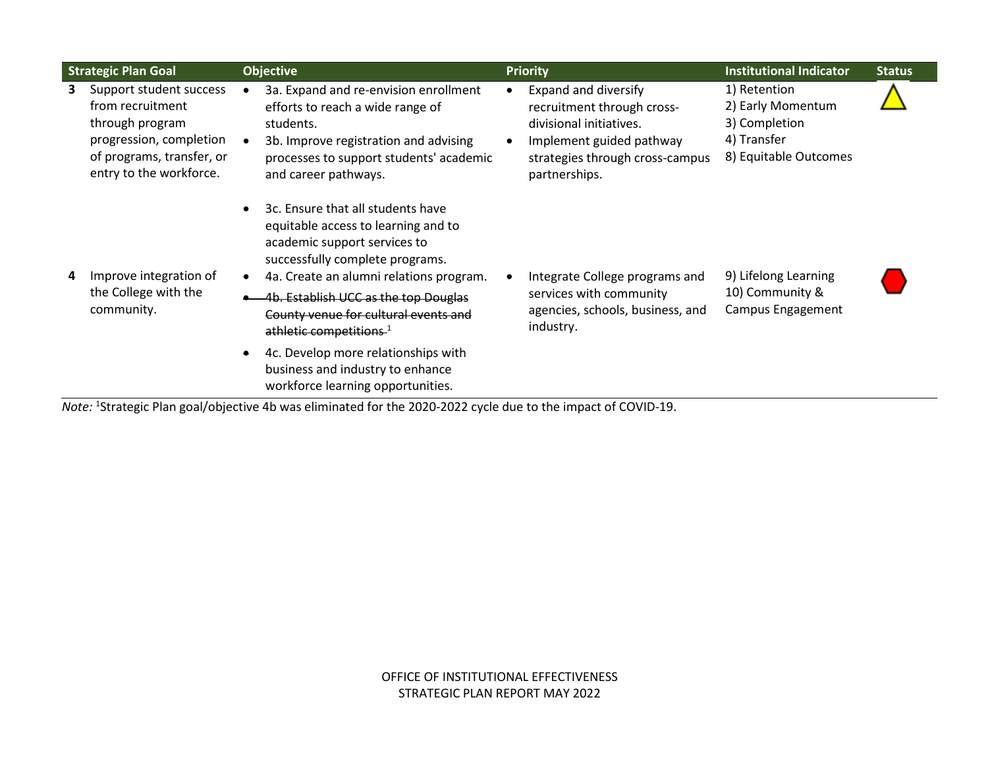| <b>Strategic Plan Goal</b> |                                                                                                                                                   | <b>Objective</b>                    |                                                                                                                                                                                                                                                                                                                                                                                                                               | <b>Priority</b> |                                                                                                                                                               | <b>Institutional Indicator</b>                                                             | <b>Status</b> |
|----------------------------|---------------------------------------------------------------------------------------------------------------------------------------------------|-------------------------------------|-------------------------------------------------------------------------------------------------------------------------------------------------------------------------------------------------------------------------------------------------------------------------------------------------------------------------------------------------------------------------------------------------------------------------------|-----------------|---------------------------------------------------------------------------------------------------------------------------------------------------------------|--------------------------------------------------------------------------------------------|---------------|
| 3                          | Support student success<br>from recruitment<br>through program<br>progression, completion<br>of programs, transfer, or<br>entry to the workforce. |                                     | 3a. Expand and re-envision enrollment<br>efforts to reach a wide range of<br>students.<br>3b. Improve registration and advising<br>processes to support students' academic<br>and career pathways.                                                                                                                                                                                                                            |                 | Expand and diversify<br>recruitment through cross-<br>divisional initiatives.<br>Implement guided pathway<br>strategies through cross-campus<br>partnerships. | 1) Retention<br>2) Early Momentum<br>3) Completion<br>4) Transfer<br>8) Equitable Outcomes |               |
| 4                          | Improve integration of<br>the College with the<br>community.                                                                                      | $\bullet$<br>$\bullet$<br>$\bullet$ | 3c. Ensure that all students have<br>equitable access to learning and to<br>academic support services to<br>successfully complete programs.<br>4a. Create an alumni relations program.<br>4b. Establish UCC as the top Douglas<br>County venue for cultural events and<br>athletic competitions. <sup>1</sup><br>4c. Develop more relationships with<br>business and industry to enhance<br>workforce learning opportunities. |                 | Integrate College programs and<br>services with community<br>agencies, schools, business, and<br>industry.                                                    | 9) Lifelong Learning<br>10) Community &<br>Campus Engagement                               |               |

*Note:* <sup>1</sup> Strategic Plan goal/objective 4b was eliminated for the 2020-2022 cycle due to the impact of COVID-19.

OFFICE OF INSTITUTIONAL EFFECTIVENESS STRATEGIC PLAN REPORT MAY 2022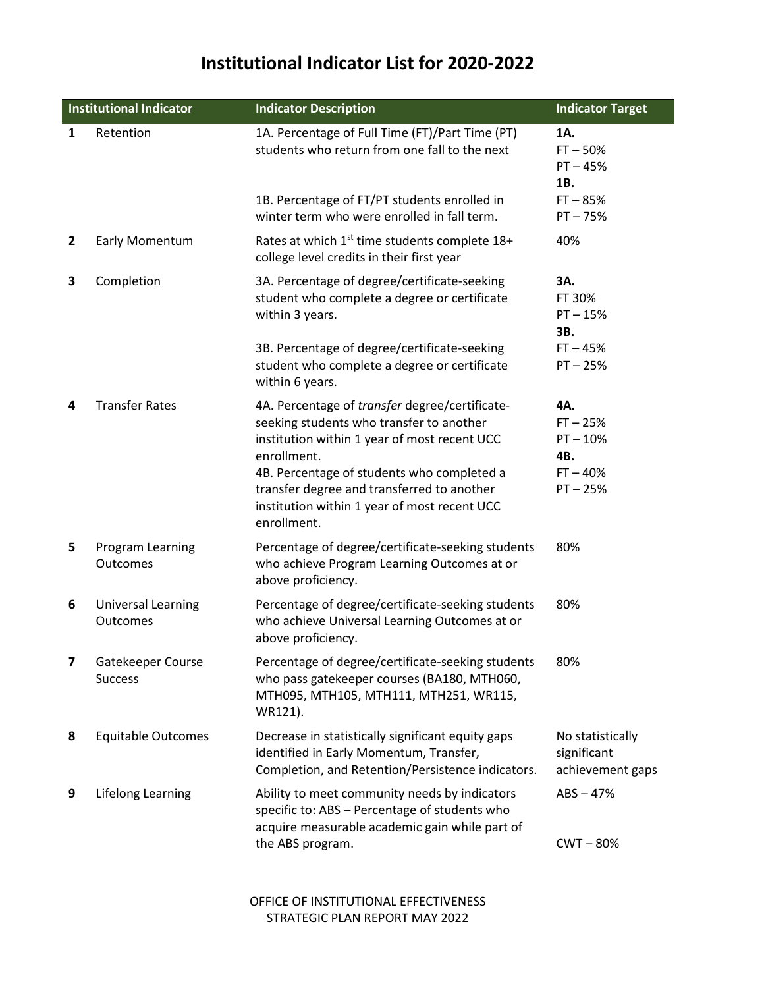## **Institutional Indicator List for 2020-2022**

| <b>Institutional Indicator</b> |                                     | <b>Indicator Description</b>                                                                                                                                                                                                                                                                                         | <b>Indicator Target</b>                                            |  |
|--------------------------------|-------------------------------------|----------------------------------------------------------------------------------------------------------------------------------------------------------------------------------------------------------------------------------------------------------------------------------------------------------------------|--------------------------------------------------------------------|--|
| $\mathbf{1}$                   | Retention                           | 1A. Percentage of Full Time (FT)/Part Time (PT)<br>students who return from one fall to the next                                                                                                                                                                                                                     | 1A.<br>$FT - 50%$<br>$PT - 45%$<br>1B.                             |  |
|                                |                                     | 1B. Percentage of FT/PT students enrolled in<br>winter term who were enrolled in fall term.                                                                                                                                                                                                                          | $FT - 85%$<br>$PT - 75%$                                           |  |
| $\overline{2}$                 | Early Momentum                      | Rates at which 1 <sup>st</sup> time students complete 18+<br>college level credits in their first year                                                                                                                                                                                                               | 40%                                                                |  |
| 3                              | Completion                          | 3A. Percentage of degree/certificate-seeking<br>student who complete a degree or certificate<br>within 3 years.                                                                                                                                                                                                      | 3A.<br>FT 30%<br>$PT - 15%$<br>3B.                                 |  |
|                                |                                     | 3B. Percentage of degree/certificate-seeking<br>student who complete a degree or certificate<br>within 6 years.                                                                                                                                                                                                      | $FT - 45%$<br>$PT - 25%$                                           |  |
| 4                              | <b>Transfer Rates</b>               | 4A. Percentage of transfer degree/certificate-<br>seeking students who transfer to another<br>institution within 1 year of most recent UCC<br>enrollment.<br>4B. Percentage of students who completed a<br>transfer degree and transferred to another<br>institution within 1 year of most recent UCC<br>enrollment. | 4A.<br>$FT - 25%$<br>$PT - 10%$<br>4B.<br>$FT - 40%$<br>$PT - 25%$ |  |
| 5                              | Program Learning<br>Outcomes        | Percentage of degree/certificate-seeking students<br>who achieve Program Learning Outcomes at or<br>above proficiency.                                                                                                                                                                                               | 80%                                                                |  |
| 6                              | Universal Learning<br>Outcomes      | Percentage of degree/certificate-seeking students<br>who achieve Universal Learning Outcomes at or<br>above proficiency.                                                                                                                                                                                             | 80%                                                                |  |
| 7                              | Gatekeeper Course<br><b>Success</b> | Percentage of degree/certificate-seeking students<br>who pass gatekeeper courses (BA180, MTH060,<br>MTH095, MTH105, MTH111, MTH251, WR115,<br>WR121).                                                                                                                                                                | 80%                                                                |  |
| 8                              | <b>Equitable Outcomes</b>           | Decrease in statistically significant equity gaps<br>identified in Early Momentum, Transfer,<br>Completion, and Retention/Persistence indicators.                                                                                                                                                                    | No statistically<br>significant<br>achievement gaps                |  |
| 9                              | Lifelong Learning                   | Ability to meet community needs by indicators<br>specific to: ABS - Percentage of students who<br>acquire measurable academic gain while part of<br>the ABS program.                                                                                                                                                 | $ABS - 47%$<br>$CWT - 80%$                                         |  |

OFFICE OF INSTITUTIONAL EFFECTIVENESS STRATEGIC PLAN REPORT MAY 2022